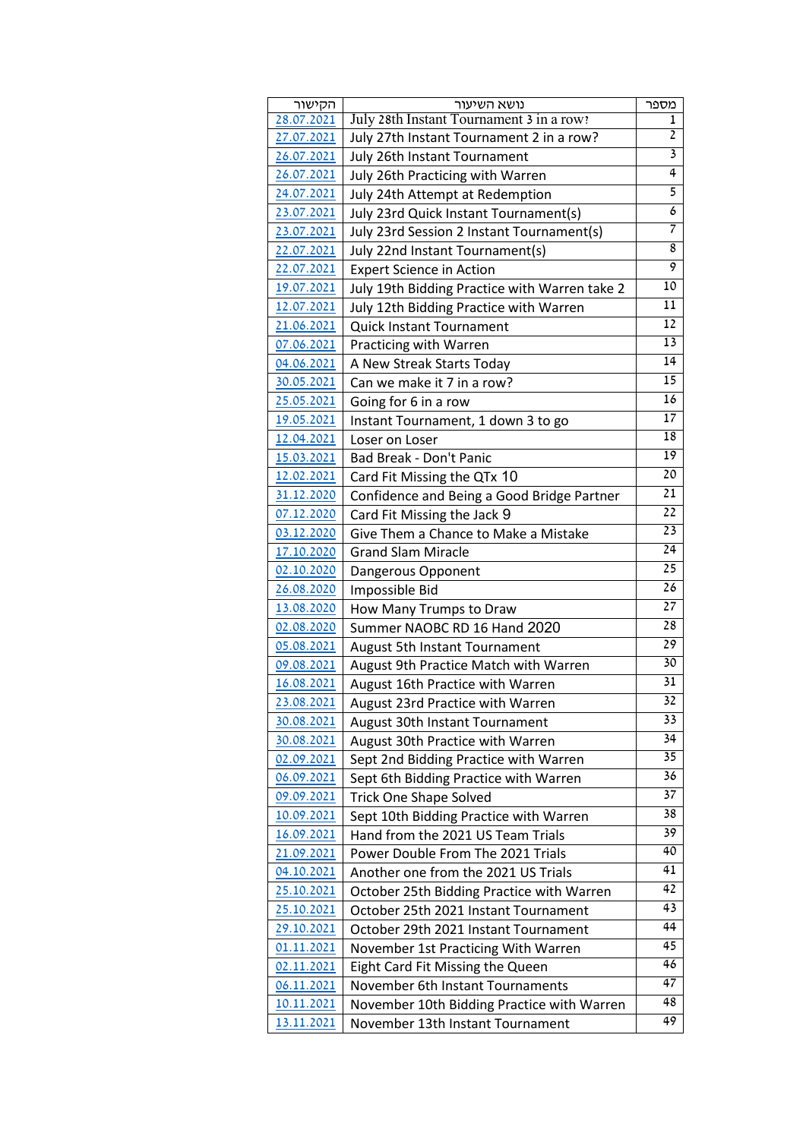| הקישור     | נושא השיעור                                                            | מספר            |
|------------|------------------------------------------------------------------------|-----------------|
| 28.07.2021 | July 28th Instant Tournament 3 in a row?                               | ı               |
| 27.07.2021 | July 27th Instant Tournament 2 in a row?                               | $\overline{2}$  |
| 26.07.2021 | July 26th Instant Tournament                                           | 3               |
| 26.07.2021 | July 26th Practicing with Warren                                       | 4               |
| 24.07.2021 | July 24th Attempt at Redemption                                        | 5               |
| 23.07.2021 | July 23rd Quick Instant Tournament(s)                                  | 6               |
| 23.07.2021 | July 23rd Session 2 Instant Tournament(s)                              | 7               |
| 22.07.2021 | July 22nd Instant Tournament(s)                                        | 8               |
| 22.07.2021 | <b>Expert Science in Action</b>                                        | 9               |
| 19.07.2021 | July 19th Bidding Practice with Warren take 2                          | 10              |
| 12.07.2021 | July 12th Bidding Practice with Warren                                 | 11              |
| 21.06.2021 | Quick Instant Tournament                                               | 12              |
| 07.06.2021 | Practicing with Warren                                                 | $\overline{13}$ |
| 04.06.2021 | A New Streak Starts Today                                              | 14              |
| 30.05.2021 | Can we make it 7 in a row?                                             | 15              |
| 25.05.2021 | Going for 6 in a row                                                   | $\overline{16}$ |
| 19.05.2021 | Instant Tournament, 1 down 3 to go                                     | $\overline{17}$ |
| 12.04.2021 | Loser on Loser                                                         | 18              |
| 15.03.2021 | Bad Break - Don't Panic                                                | $\overline{19}$ |
| 12.02.2021 | Card Fit Missing the QTx 10                                            | 20              |
| 31.12.2020 | Confidence and Being a Good Bridge Partner                             | 21              |
| 07.12.2020 | Card Fit Missing the Jack 9                                            | 22              |
| 03.12.2020 | Give Them a Chance to Make a Mistake                                   | 23              |
| 17.10.2020 | <b>Grand Slam Miracle</b>                                              | 24              |
| 02.10.2020 | Dangerous Opponent                                                     | 25              |
| 26.08.2020 | Impossible Bid                                                         | 26              |
| 13.08.2020 | How Many Trumps to Draw                                                | 27              |
| 02.08.2020 | Summer NAOBC RD 16 Hand 2020                                           | 28              |
| 05.08.2021 | <b>August 5th Instant Tournament</b>                                   | 29              |
| 09.08.2021 | August 9th Practice Match with Warren                                  | 30              |
| 16.08.2021 | August 16th Practice with Warren                                       | $\overline{31}$ |
| 23.08.2021 | August 23rd Practice with Warren                                       | $\overline{32}$ |
| 30.08.2021 | August 30th Instant Tournament                                         | 33              |
| 30.08.2021 | August 30th Practice with Warren                                       | 34              |
| 02.09.2021 | Sept 2nd Bidding Practice with Warren                                  | 35              |
| 06.09.2021 |                                                                        | 36              |
| 09.09.2021 | Sept 6th Bidding Practice with Warren<br><b>Trick One Shape Solved</b> | 37              |
| 10.09.2021 |                                                                        | 38              |
|            | Sept 10th Bidding Practice with Warren                                 | 39              |
| 16.09.2021 | Hand from the 2021 US Team Trials<br>Power Double From The 2021 Trials | 40              |
| 21.09.2021 |                                                                        | $\overline{41}$ |
| 04.10.2021 | Another one from the 2021 US Trials                                    | 42              |
| 25.10.2021 | October 25th Bidding Practice with Warren                              | 43              |
| 25.10.2021 | October 25th 2021 Instant Tournament                                   |                 |
| 29.10.2021 | October 29th 2021 Instant Tournament                                   | 44              |
| 01.11.2021 | November 1st Practicing With Warren                                    | 45              |
| 02.11.2021 | Eight Card Fit Missing the Queen                                       | 46              |
| 06.11.2021 | November 6th Instant Tournaments                                       | $\overline{47}$ |
| 10.11.2021 | November 10th Bidding Practice with Warren                             | 48              |
| 13.11.2021 | November 13th Instant Tournament                                       | 49              |